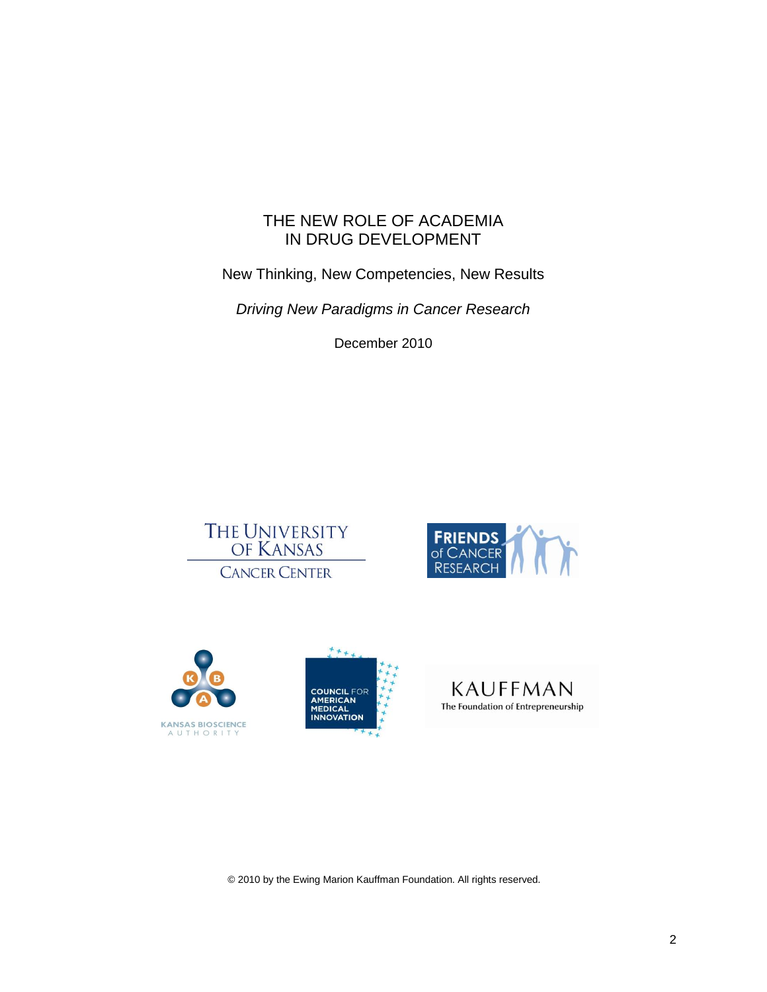# THE NEW ROLE OF ACADEMIA IN DRUG DEVELOPMENT

New Thinking, New Competencies, New Results

*Driving New Paradigms in Cancer Research*

December 2010











© 2010 by the Ewing Marion Kauffman Foundation. All rights reserved.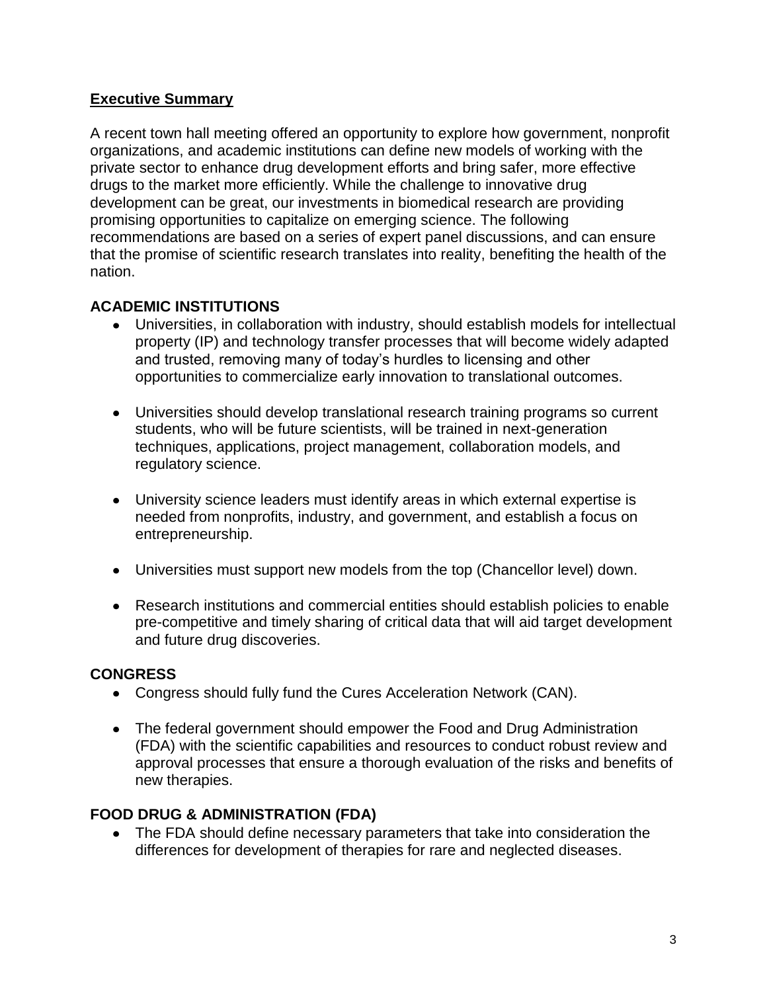# **Executive Summary**

A recent town hall meeting offered an opportunity to explore how government, nonprofit organizations, and academic institutions can define new models of working with the private sector to enhance drug development efforts and bring safer, more effective drugs to the market more efficiently. While the challenge to innovative drug development can be great, our investments in biomedical research are providing promising opportunities to capitalize on emerging science. The following recommendations are based on a series of expert panel discussions, and can ensure that the promise of scientific research translates into reality, benefiting the health of the nation.

# **ACADEMIC INSTITUTIONS**

- Universities, in collaboration with industry, should establish models for intellectual property (IP) and technology transfer processes that will become widely adapted and trusted, removing many of today's hurdles to licensing and other opportunities to commercialize early innovation to translational outcomes.
- Universities should develop translational research training programs so current students, who will be future scientists, will be trained in next-generation techniques, applications, project management, collaboration models, and regulatory science.
- University science leaders must identify areas in which external expertise is needed from nonprofits, industry, and government, and establish a focus on entrepreneurship.
- Universities must support new models from the top (Chancellor level) down.
- Research institutions and commercial entities should establish policies to enable pre-competitive and timely sharing of critical data that will aid target development and future drug discoveries.

# **CONGRESS**

- Congress should fully fund the Cures Acceleration Network (CAN).
- The federal government should empower the Food and Drug Administration (FDA) with the scientific capabilities and resources to conduct robust review and approval processes that ensure a thorough evaluation of the risks and benefits of new therapies.

# **FOOD DRUG & ADMINISTRATION (FDA)**

The FDA should define necessary parameters that take into consideration the differences for development of therapies for rare and neglected diseases.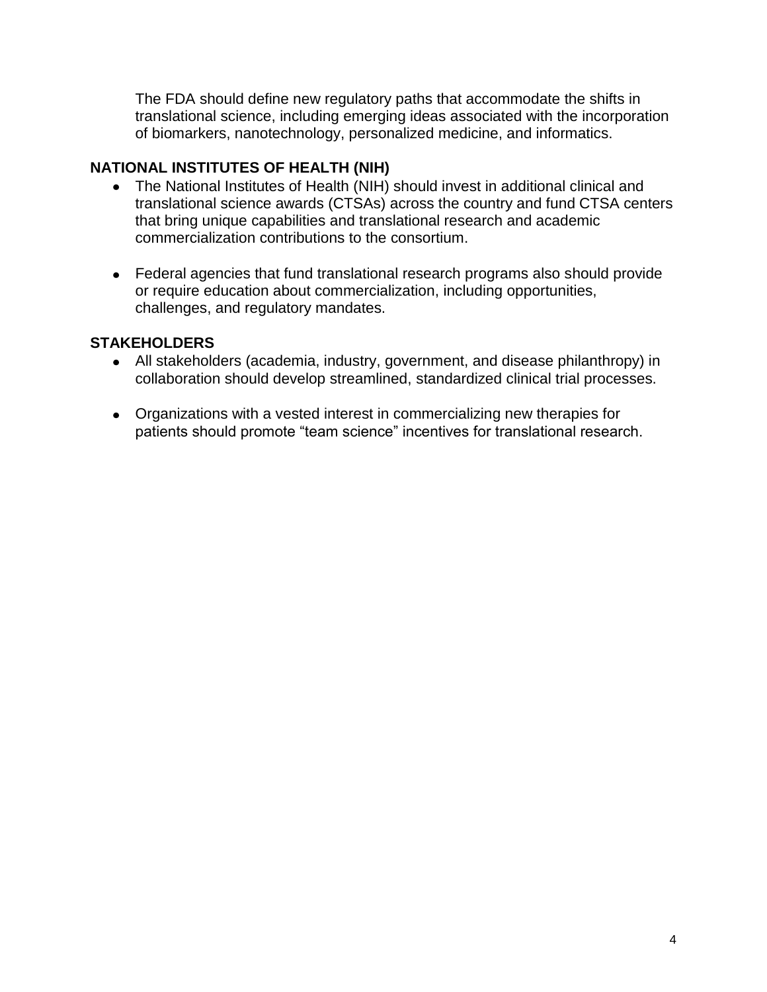The FDA should define new regulatory paths that accommodate the shifts in translational science, including emerging ideas associated with the incorporation of biomarkers, nanotechnology, personalized medicine, and informatics.

# **NATIONAL INSTITUTES OF HEALTH (NIH)**

- The National Institutes of Health (NIH) should invest in additional clinical and  $\bullet$ translational science awards (CTSAs) across the country and fund CTSA centers that bring unique capabilities and translational research and academic commercialization contributions to the consortium.
- Federal agencies that fund translational research programs also should provide or require education about commercialization, including opportunities, challenges, and regulatory mandates.

# **STAKEHOLDERS**

- All stakeholders (academia, industry, government, and disease philanthropy) in collaboration should develop streamlined, standardized clinical trial processes.
- Organizations with a vested interest in commercializing new therapies for patients should promote "team science" incentives for translational research.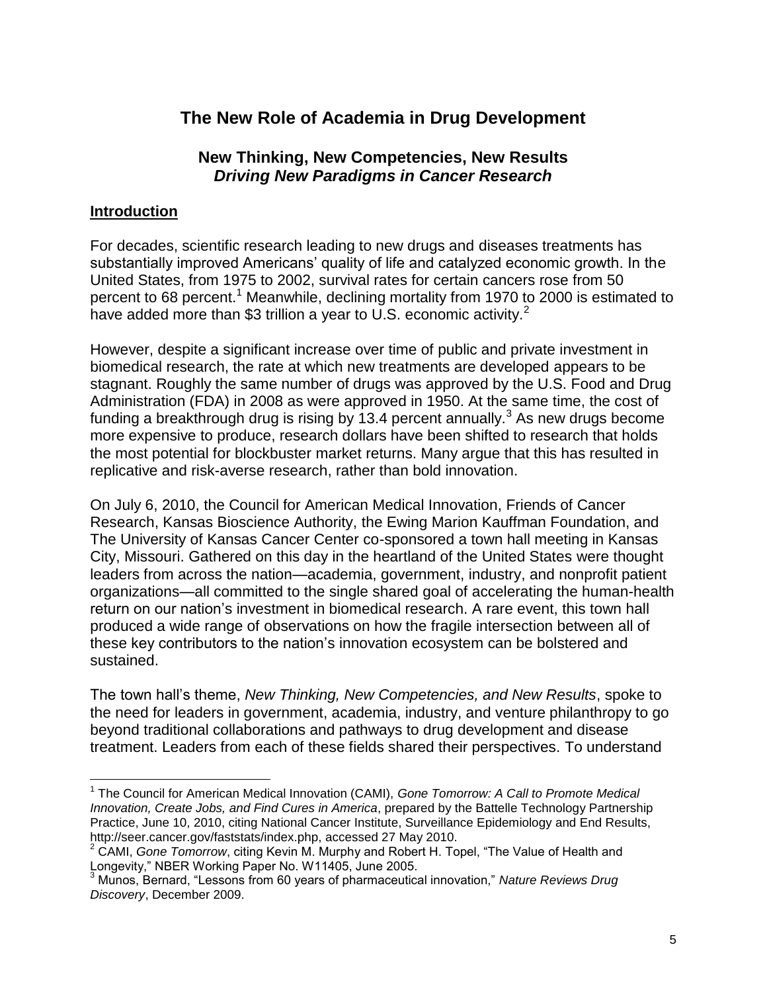# **The New Role of Academia in Drug Development**

# **New Thinking, New Competencies, New Results** *Driving New Paradigms in Cancer Research*

### **Introduction**

 $\overline{a}$ 

For decades, scientific research leading to new drugs and diseases treatments has substantially improved Americans' quality of life and catalyzed economic growth. In the United States, from 1975 to 2002, survival rates for certain cancers rose from 50 percent to 68 percent.<sup>1</sup> Meanwhile, declining mortality from 1970 to 2000 is estimated to have added more than \$3 trillion a year to U.S. economic activity.<sup>2</sup>

However, despite a significant increase over time of public and private investment in biomedical research, the rate at which new treatments are developed appears to be stagnant. Roughly the same number of drugs was approved by the U.S. Food and Drug Administration (FDA) in 2008 as were approved in 1950. At the same time, the cost of funding a breakthrough drug is rising by 13.4 percent annually.<sup>3</sup> As new drugs become more expensive to produce, research dollars have been shifted to research that holds the most potential for blockbuster market returns. Many argue that this has resulted in replicative and risk-averse research, rather than bold innovation.

On July 6, 2010, the Council for American Medical Innovation, Friends of Cancer Research, Kansas Bioscience Authority, the Ewing Marion Kauffman Foundation, and The University of Kansas Cancer Center co-sponsored a town hall meeting in Kansas City, Missouri. Gathered on this day in the heartland of the United States were thought leaders from across the nation—academia, government, industry, and nonprofit patient organizations—all committed to the single shared goal of accelerating the human-health return on our nation's investment in biomedical research. A rare event, this town hall produced a wide range of observations on how the fragile intersection between all of these key contributors to the nation's innovation ecosystem can be bolstered and sustained.

The town hall's theme, *New Thinking, New Competencies, and New Results*, spoke to the need for leaders in government, academia, industry, and venture philanthropy to go beyond traditional collaborations and pathways to drug development and disease treatment. Leaders from each of these fields shared their perspectives. To understand

<sup>1</sup> The Council for American Medical Innovation (CAMI), *Gone Tomorrow: A Call to Promote Medical Innovation, Create Jobs, and Find Cures in America*, prepared by the Battelle Technology Partnership Practice, June 10, 2010, citing National Cancer Institute, Surveillance Epidemiology and End Results, http://seer.cancer.gov/faststats/index.php, accessed 27 May 2010.

<sup>&</sup>lt;sup>2</sup> CAMI, *Gone Tomorrow*, citing Kevin M. Murphy and Robert H. Topel, "The Value of Health and Longevity," NBER Working Paper No. W11405, June 2005.

<sup>&</sup>lt;sup>3</sup> Munos, Bernard, "Lessons from 60 years of pharmaceutical innovation," Nature Reviews Drug *Discovery*, December 2009.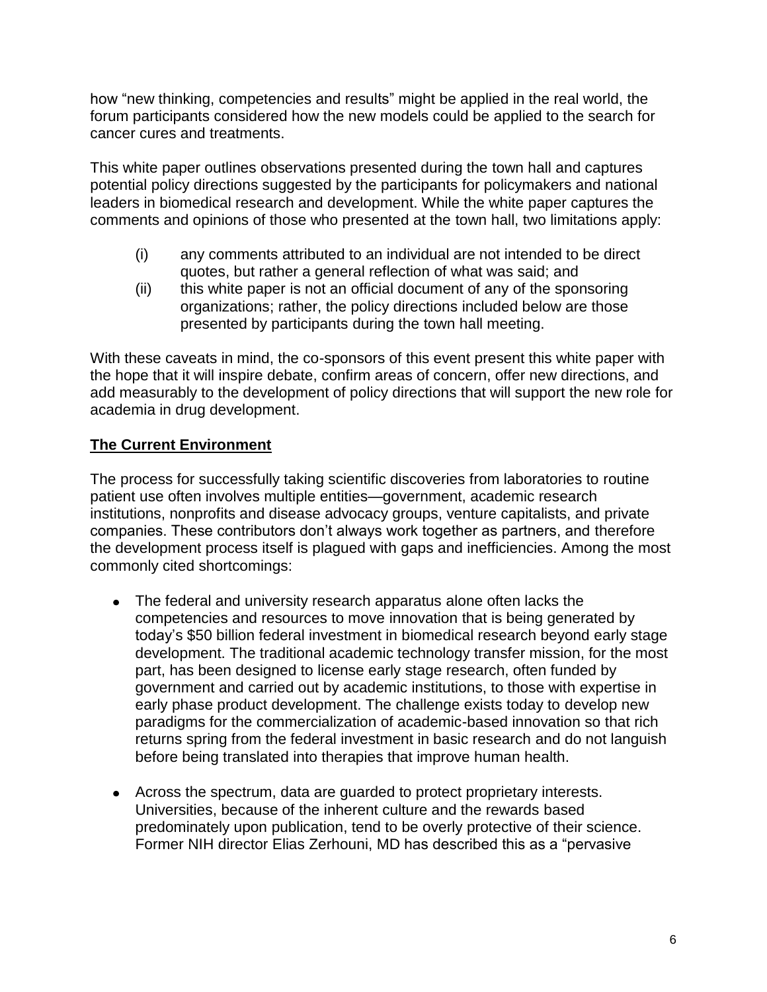how "new thinking, competencies and results" might be applied in the real world, the forum participants considered how the new models could be applied to the search for cancer cures and treatments.

This white paper outlines observations presented during the town hall and captures potential policy directions suggested by the participants for policymakers and national leaders in biomedical research and development. While the white paper captures the comments and opinions of those who presented at the town hall, two limitations apply:

- (i) any comments attributed to an individual are not intended to be direct quotes, but rather a general reflection of what was said; and
- (ii) this white paper is not an official document of any of the sponsoring organizations; rather, the policy directions included below are those presented by participants during the town hall meeting.

With these caveats in mind, the co-sponsors of this event present this white paper with the hope that it will inspire debate, confirm areas of concern, offer new directions, and add measurably to the development of policy directions that will support the new role for academia in drug development.

# **The Current Environment**

The process for successfully taking scientific discoveries from laboratories to routine patient use often involves multiple entities—government, academic research institutions, nonprofits and disease advocacy groups, venture capitalists, and private companies. These contributors don't always work together as partners, and therefore the development process itself is plagued with gaps and inefficiencies. Among the most commonly cited shortcomings:

- The federal and university research apparatus alone often lacks the competencies and resources to move innovation that is being generated by today's \$50 billion federal investment in biomedical research beyond early stage development. The traditional academic technology transfer mission, for the most part, has been designed to license early stage research, often funded by government and carried out by academic institutions, to those with expertise in early phase product development. The challenge exists today to develop new paradigms for the commercialization of academic-based innovation so that rich returns spring from the federal investment in basic research and do not languish before being translated into therapies that improve human health.
- Across the spectrum, data are guarded to protect proprietary interests. Universities, because of the inherent culture and the rewards based predominately upon publication, tend to be overly protective of their science. Former NIH director Elias Zerhouni, MD has described this as a "pervasive"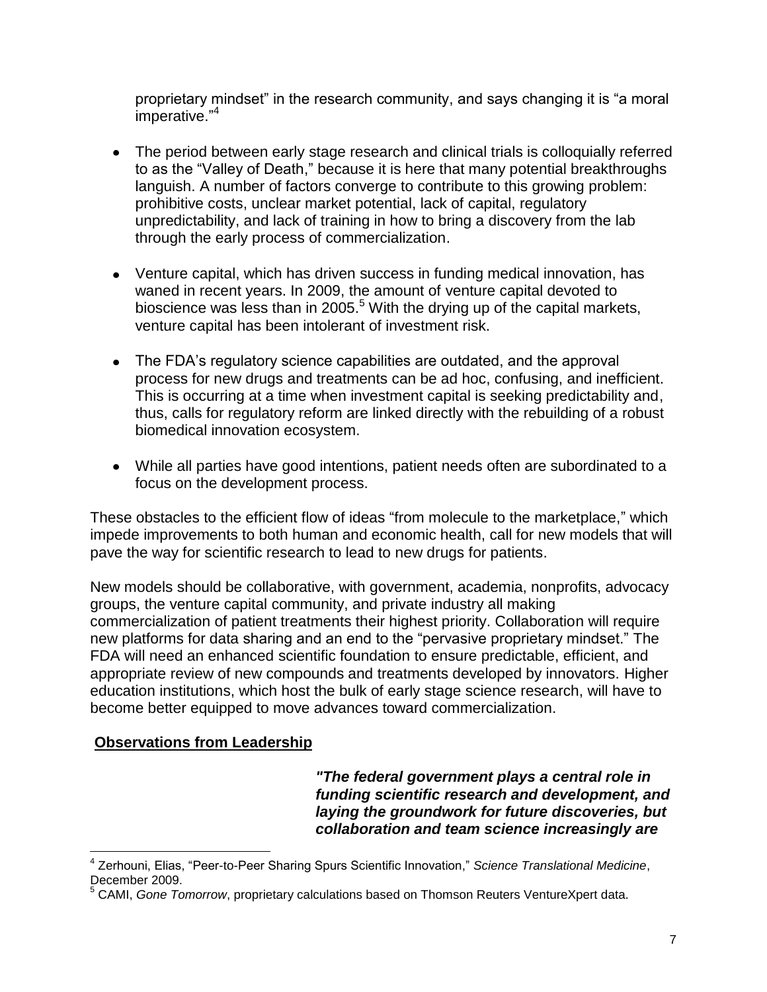proprietary mindset" in the research community, and says changing it is "a moral imperative."<sup>4</sup>

- The period between early stage research and clinical trials is colloquially referred to as the "Valley of Death," because it is here that many potential breakthroughs languish. A number of factors converge to contribute to this growing problem: prohibitive costs, unclear market potential, lack of capital, regulatory unpredictability, and lack of training in how to bring a discovery from the lab through the early process of commercialization.
- Venture capital, which has driven success in funding medical innovation, has waned in recent years. In 2009, the amount of venture capital devoted to bioscience was less than in 2005.<sup>5</sup> With the drying up of the capital markets, venture capital has been intolerant of investment risk.
- The FDA's regulatory science capabilities are outdated, and the approval process for new drugs and treatments can be ad hoc, confusing, and inefficient. This is occurring at a time when investment capital is seeking predictability and, thus, calls for regulatory reform are linked directly with the rebuilding of a robust biomedical innovation ecosystem.
- While all parties have good intentions, patient needs often are subordinated to a focus on the development process.

These obstacles to the efficient flow of ideas "from molecule to the marketplace," which impede improvements to both human and economic health, call for new models that will pave the way for scientific research to lead to new drugs for patients.

New models should be collaborative, with government, academia, nonprofits, advocacy groups, the venture capital community, and private industry all making commercialization of patient treatments their highest priority. Collaboration will require new platforms for data sharing and an end to the "pervasive proprietary mindset." The FDA will need an enhanced scientific foundation to ensure predictable, efficient, and appropriate review of new compounds and treatments developed by innovators. Higher education institutions, which host the bulk of early stage science research, will have to become better equipped to move advances toward commercialization.

# **Observations from Leadership**

*"The federal government plays a central role in funding scientific research and development, and laying the groundwork for future discoveries, but collaboration and team science increasingly are* 

 $\overline{a}$ <sup>4</sup> Zerhouni, Elias, "Peer-to-Peer Sharing Spurs Scientific Innovation," Science Translational Medicine, December 2009.

<sup>5</sup> CAMI, *Gone Tomorrow*, proprietary calculations based on Thomson Reuters VentureXpert data.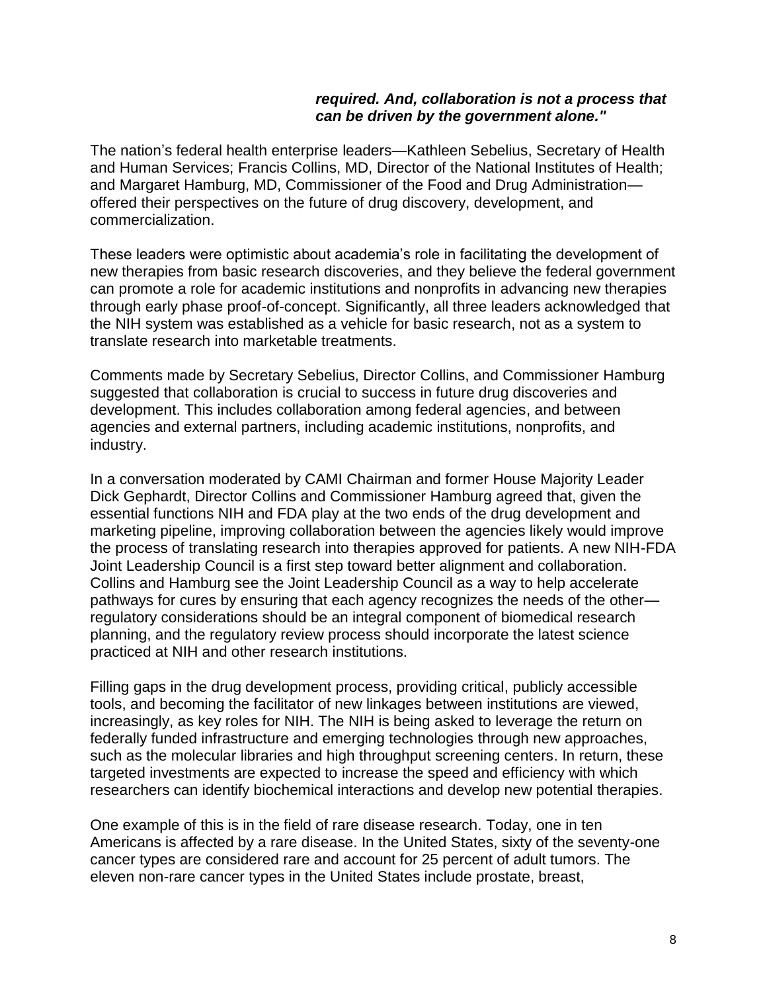#### *required. And, collaboration is not a process that can be driven by the government alone."*

The nation's federal health enterprise leaders—Kathleen Sebelius, Secretary of Health and Human Services; Francis Collins, MD, Director of the National Institutes of Health; and Margaret Hamburg, MD, Commissioner of the Food and Drug Administration offered their perspectives on the future of drug discovery, development, and commercialization.

These leaders were optimistic about academia's role in facilitating the development of new therapies from basic research discoveries, and they believe the federal government can promote a role for academic institutions and nonprofits in advancing new therapies through early phase proof-of-concept. Significantly, all three leaders acknowledged that the NIH system was established as a vehicle for basic research, not as a system to translate research into marketable treatments.

Comments made by Secretary Sebelius, Director Collins, and Commissioner Hamburg suggested that collaboration is crucial to success in future drug discoveries and development. This includes collaboration among federal agencies, and between agencies and external partners, including academic institutions, nonprofits, and industry.

In a conversation moderated by CAMI Chairman and former House Majority Leader Dick Gephardt, Director Collins and Commissioner Hamburg agreed that, given the essential functions NIH and FDA play at the two ends of the drug development and marketing pipeline, improving collaboration between the agencies likely would improve the process of translating research into therapies approved for patients. A new NIH-FDA Joint Leadership Council is a first step toward better alignment and collaboration. Collins and Hamburg see the Joint Leadership Council as a way to help accelerate pathways for cures by ensuring that each agency recognizes the needs of the other regulatory considerations should be an integral component of biomedical research planning, and the regulatory review process should incorporate the latest science practiced at NIH and other research institutions.

Filling gaps in the drug development process, providing critical, publicly accessible tools, and becoming the facilitator of new linkages between institutions are viewed, increasingly, as key roles for NIH. The NIH is being asked to leverage the return on federally funded infrastructure and emerging technologies through new approaches, such as the molecular libraries and high throughput screening centers. In return, these targeted investments are expected to increase the speed and efficiency with which researchers can identify biochemical interactions and develop new potential therapies.

One example of this is in the field of rare disease research. Today, one in ten Americans is affected by a rare disease. In the United States, sixty of the seventy-one cancer types are considered rare and account for 25 percent of adult tumors. The eleven non-rare cancer types in the United States include prostate, breast,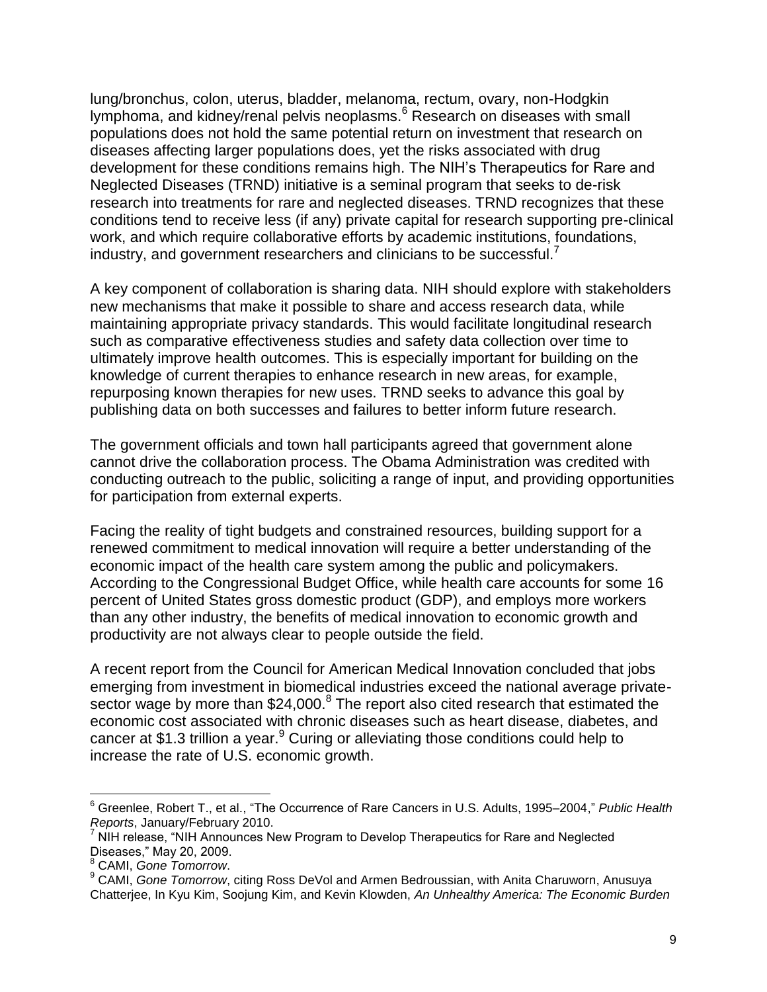lung/bronchus, colon, uterus, bladder, melanoma, rectum, ovary, non-Hodgkin lymphoma, and kidney/renal pelvis neoplasms.<sup>6</sup> Research on diseases with small populations does not hold the same potential return on investment that research on diseases affecting larger populations does, yet the risks associated with drug development for these conditions remains high. The NIH's Therapeutics for Rare and Neglected Diseases (TRND) initiative is a seminal program that seeks to de-risk research into treatments for rare and neglected diseases. TRND recognizes that these conditions tend to receive less (if any) private capital for research supporting pre-clinical work, and which require collaborative efforts by academic institutions, foundations, industry, and government researchers and clinicians to be successful.<sup>7</sup>

A key component of collaboration is sharing data. NIH should explore with stakeholders new mechanisms that make it possible to share and access research data, while maintaining appropriate privacy standards. This would facilitate longitudinal research such as comparative effectiveness studies and safety data collection over time to ultimately improve health outcomes. This is especially important for building on the knowledge of current therapies to enhance research in new areas, for example, repurposing known therapies for new uses. TRND seeks to advance this goal by publishing data on both successes and failures to better inform future research.

The government officials and town hall participants agreed that government alone cannot drive the collaboration process. The Obama Administration was credited with conducting outreach to the public, soliciting a range of input, and providing opportunities for participation from external experts.

Facing the reality of tight budgets and constrained resources, building support for a renewed commitment to medical innovation will require a better understanding of the economic impact of the health care system among the public and policymakers. According to the Congressional Budget Office, while health care accounts for some 16 percent of United States gross domestic product (GDP), and employs more workers than any other industry, the benefits of medical innovation to economic growth and productivity are not always clear to people outside the field.

A recent report from the Council for American Medical Innovation concluded that jobs emerging from investment in biomedical industries exceed the national average privatesector wage by more than \$24,000. $8$  The report also cited research that estimated the economic cost associated with chronic diseases such as heart disease, diabetes, and cancer at \$1.3 trillion a year. $9$  Curing or alleviating those conditions could help to increase the rate of U.S. economic growth.

 $\overline{a}$ 

<sup>&</sup>lt;sup>6</sup> Greenlee, Robert T., et al., "The Occurrence of Rare Cancers in U.S. Adults, 1995–2004," Public Health *Reports*, January/February 2010.

 $7$  NIH release, "NIH Announces New Program to Develop Therapeutics for Rare and Neglected Diseases," May 20, 2009.

<sup>8</sup> CAMI, *Gone Tomorrow*.

<sup>&</sup>lt;sup>9</sup> CAMI, *Gone Tomorrow*, citing Ross DeVol and Armen Bedroussian, with Anita Charuworn, Anusuya Chatterjee, In Kyu Kim, Soojung Kim, and Kevin Klowden, *An Unhealthy America: The Economic Burden*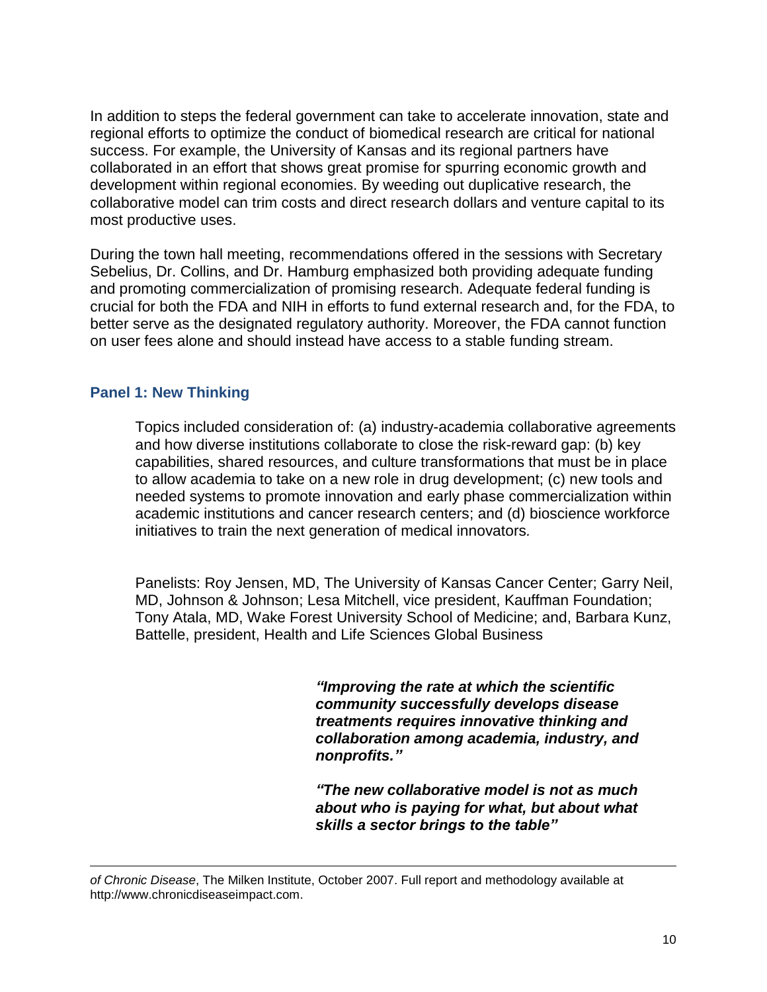In addition to steps the federal government can take to accelerate innovation, state and regional efforts to optimize the conduct of biomedical research are critical for national success. For example, the University of Kansas and its regional partners have collaborated in an effort that shows great promise for spurring economic growth and development within regional economies. By weeding out duplicative research, the collaborative model can trim costs and direct research dollars and venture capital to its most productive uses.

During the town hall meeting, recommendations offered in the sessions with Secretary Sebelius, Dr. Collins, and Dr. Hamburg emphasized both providing adequate funding and promoting commercialization of promising research. Adequate federal funding is crucial for both the FDA and NIH in efforts to fund external research and, for the FDA, to better serve as the designated regulatory authority. Moreover, the FDA cannot function on user fees alone and should instead have access to a stable funding stream.

#### **Panel 1: New Thinking**

 $\overline{a}$ 

Topics included consideration of: (a) industry-academia collaborative agreements and how diverse institutions collaborate to close the risk-reward gap: (b) key capabilities, shared resources, and culture transformations that must be in place to allow academia to take on a new role in drug development; (c) new tools and needed systems to promote innovation and early phase commercialization within academic institutions and cancer research centers; and (d) bioscience workforce initiatives to train the next generation of medical innovators*.*

Panelists: Roy Jensen, MD, The University of Kansas Cancer Center; Garry Neil, MD, Johnson & Johnson; Lesa Mitchell, vice president, Kauffman Foundation; Tony Atala, MD, Wake Forest University School of Medicine; and, Barbara Kunz, Battelle, president, Health and Life Sciences Global Business

> *"Improving the rate at which the scientific community successfully develops disease treatments requires innovative thinking and collaboration among academia, industry, and nonprofits."*

> *"The new collaborative model is not as much about who is paying for what, but about what skills a sector brings to the table"*

*of Chronic Disease*, The Milken Institute, October 2007. Full report and methodology available at [http://www.chronicdiseaseimpact.com.](http://www.chronicdiseaseimpact.com/)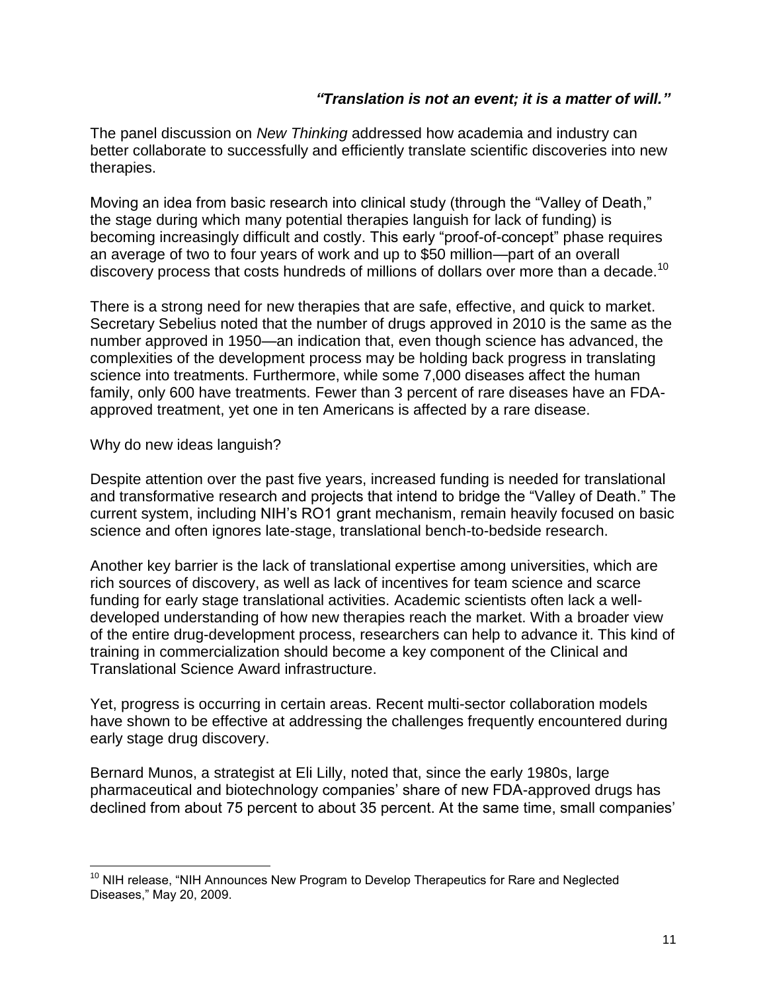#### *"Translation is not an event; it is a matter of will."*

The panel discussion on *New Thinking* addressed how academia and industry can better collaborate to successfully and efficiently translate scientific discoveries into new therapies.

Moving an idea from basic research into clinical study (through the "Valley of Death," the stage during which many potential therapies languish for lack of funding) is becoming increasingly difficult and costly. This early "proof-of-concept" phase requires an average of two to four years of work and up to \$50 million—part of an overall discovery process that costs hundreds of millions of dollars over more than a decade.<sup>10</sup>

There is a strong need for new therapies that are safe, effective, and quick to market. Secretary Sebelius noted that the number of drugs approved in 2010 is the same as the number approved in 1950—an indication that, even though science has advanced, the complexities of the development process may be holding back progress in translating science into treatments. Furthermore, while some 7,000 diseases affect the human family, only 600 have treatments. Fewer than 3 percent of rare diseases have an FDAapproved treatment, yet one in ten Americans is affected by a rare disease.

#### Why do new ideas languish?

 $\overline{a}$ 

Despite attention over the past five years, increased funding is needed for translational and transformative research and projects that intend to bridge the "Valley of Death." The current system, including NIH's RO1 grant mechanism, remain heavily focused on basic science and often ignores late-stage, translational bench-to-bedside research.

Another key barrier is the lack of translational expertise among universities, which are rich sources of discovery, as well as lack of incentives for team science and scarce funding for early stage translational activities. Academic scientists often lack a welldeveloped understanding of how new therapies reach the market. With a broader view of the entire drug-development process, researchers can help to advance it. This kind of training in commercialization should become a key component of the Clinical and Translational Science Award infrastructure.

Yet, progress is occurring in certain areas. Recent multi-sector collaboration models have shown to be effective at addressing the challenges frequently encountered during early stage drug discovery.

Bernard Munos, a strategist at Eli Lilly, noted that, since the early 1980s, large pharmaceutical and biotechnology companies' share of new FDA-approved drugs has declined from about 75 percent to about 35 percent. At the same time, small companies'

 $10$  NIH release, "NIH Announces New Program to Develop Therapeutics for Rare and Neglected Diseases," May 20, 2009.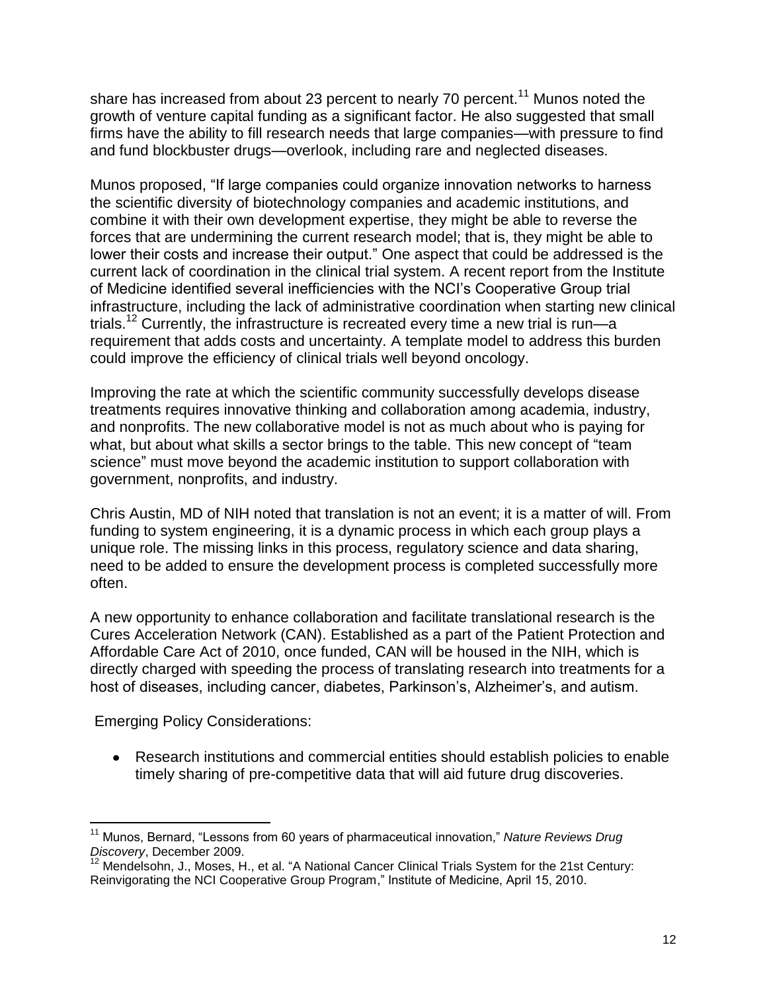share has increased from about 23 percent to nearly 70 percent.<sup>11</sup> Munos noted the growth of venture capital funding as a significant factor. He also suggested that small firms have the ability to fill research needs that large companies—with pressure to find and fund blockbuster drugs—overlook, including rare and neglected diseases.

Munos proposed, "If large companies could organize innovation networks to harness the scientific diversity of biotechnology companies and academic institutions, and combine it with their own development expertise, they might be able to reverse the forces that are undermining the current research model; that is, they might be able to lower their costs and increase their output." One aspect that could be addressed is the current lack of coordination in the clinical trial system. A recent report from the Institute of Medicine identified several inefficiencies with the NCI's Cooperative Group trial infrastructure, including the lack of administrative coordination when starting new clinical trials.<sup>12</sup> Currently, the infrastructure is recreated every time a new trial is run—a requirement that adds costs and uncertainty. A template model to address this burden could improve the efficiency of clinical trials well beyond oncology.

Improving the rate at which the scientific community successfully develops disease treatments requires innovative thinking and collaboration among academia, industry, and nonprofits. The new collaborative model is not as much about who is paying for what, but about what skills a sector brings to the table. This new concept of "team science" must move beyond the academic institution to support collaboration with government, nonprofits, and industry.

Chris Austin, MD of NIH noted that translation is not an event; it is a matter of will. From funding to system engineering, it is a dynamic process in which each group plays a unique role. The missing links in this process, regulatory science and data sharing, need to be added to ensure the development process is completed successfully more often.

A new opportunity to enhance collaboration and facilitate translational research is the Cures Acceleration Network (CAN). Established as a part of the Patient Protection and Affordable Care Act of 2010, once funded, CAN will be housed in the NIH, which is directly charged with speeding the process of translating research into treatments for a host of diseases, including cancer, diabetes, Parkinson's, Alzheimer's, and autism.

Emerging Policy Considerations:

 $\overline{a}$ 

Research institutions and commercial entities should establish policies to enable timely sharing of pre-competitive data that will aid future drug discoveries.

<sup>&</sup>lt;sup>11</sup> Munos, Bernard, "Lessons from 60 years of pharmaceutical innovation," Nature Reviews Drug *Discovery*, December 2009.

 $12$  Mendelsohn, J., Moses, H., et al. "A National Cancer Clinical Trials System for the 21st Century: Reinvigorating the NCI Cooperative Group Program," Institute of Medicine, April 15, 2010.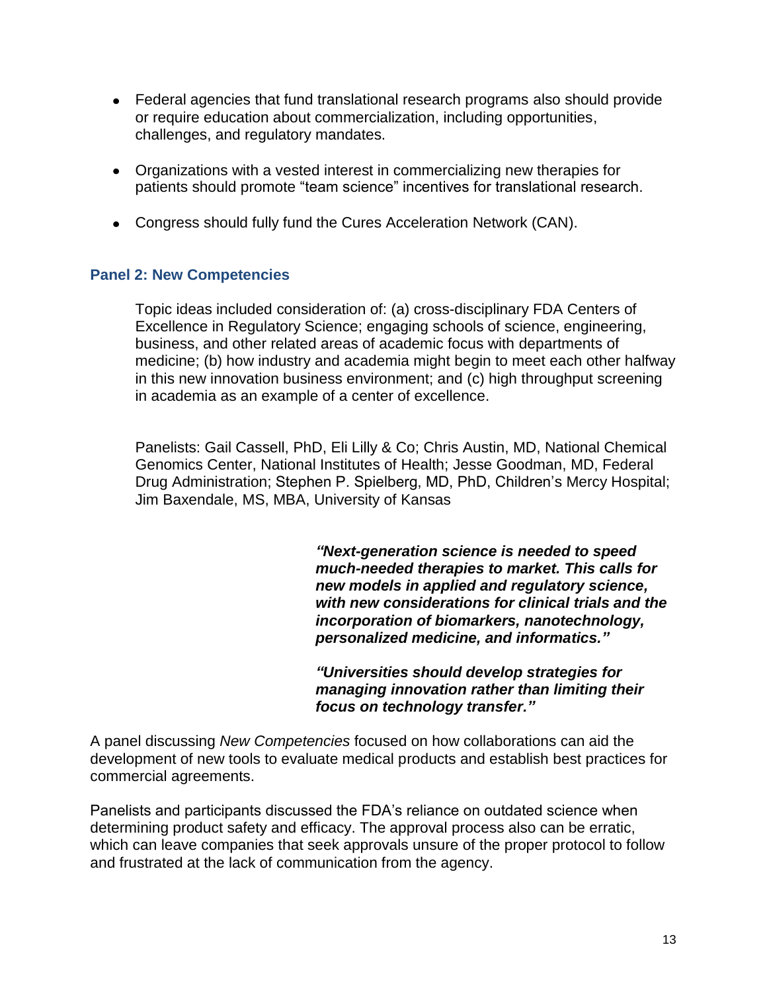- Federal agencies that fund translational research programs also should provide or require education about commercialization, including opportunities, challenges, and regulatory mandates.
- Organizations with a vested interest in commercializing new therapies for patients should promote "team science" incentives for translational research.
- Congress should fully fund the Cures Acceleration Network (CAN).

#### **Panel 2: New Competencies**

Topic ideas included consideration of: (a) cross-disciplinary FDA Centers of Excellence in Regulatory Science; engaging schools of science, engineering, business, and other related areas of academic focus with departments of medicine; (b) how industry and academia might begin to meet each other halfway in this new innovation business environment; and (c) high throughput screening in academia as an example of a center of excellence.

Panelists: Gail Cassell, PhD, Eli Lilly & Co; Chris Austin, MD, National Chemical Genomics Center, National Institutes of Health; Jesse Goodman, MD, Federal Drug Administration; Stephen P. Spielberg, MD, PhD, Children's Mercy Hospital; Jim Baxendale, MS, MBA, University of Kansas

> *"Next-generation science is needed to speed much-needed therapies to market. This calls for new models in applied and regulatory science, with new considerations for clinical trials and the incorporation of biomarkers, nanotechnology, personalized medicine, and informatics."*

*"Universities should develop strategies for managing innovation rather than limiting their focus on technology transfer."*

A panel discussing *New Competencies* focused on how collaborations can aid the development of new tools to evaluate medical products and establish best practices for commercial agreements.

Panelists and participants discussed the FDA's reliance on outdated science when determining product safety and efficacy. The approval process also can be erratic, which can leave companies that seek approvals unsure of the proper protocol to follow and frustrated at the lack of communication from the agency.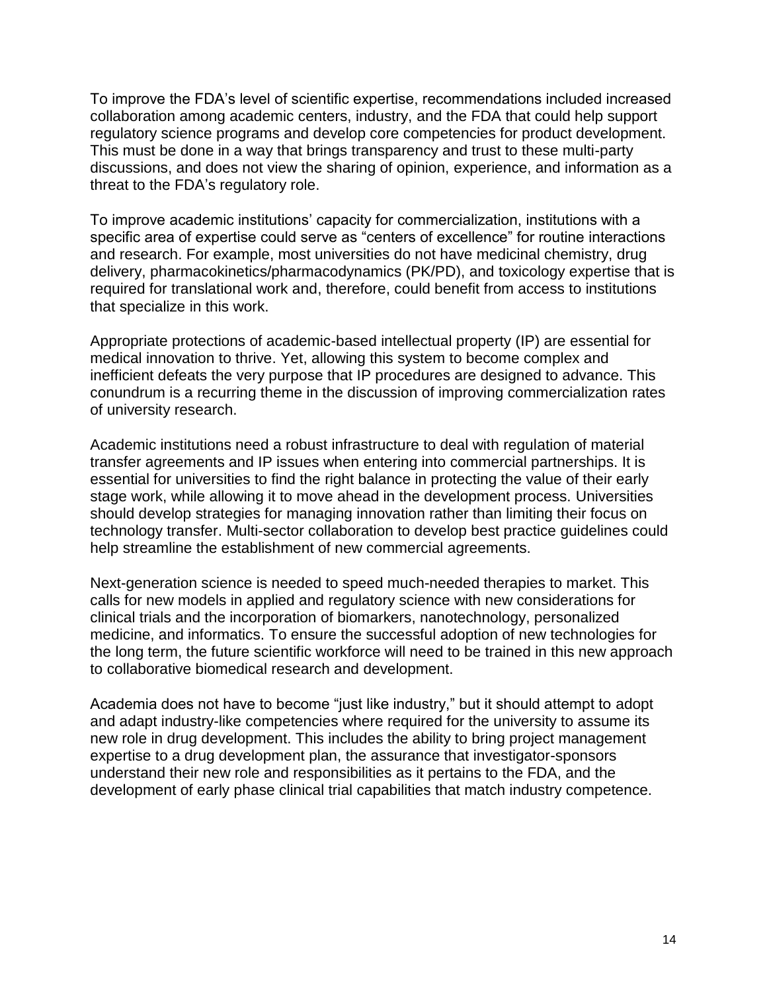To improve the FDA's level of scientific expertise, recommendations included increased collaboration among academic centers, industry, and the FDA that could help support regulatory science programs and develop core competencies for product development. This must be done in a way that brings transparency and trust to these multi-party discussions, and does not view the sharing of opinion, experience, and information as a threat to the FDA's regulatory role.

To improve academic institutions' capacity for commercialization, institutions with a specific area of expertise could serve as "centers of excellence" for routine interactions and research. For example, most universities do not have medicinal chemistry, drug delivery, pharmacokinetics/pharmacodynamics (PK/PD), and toxicology expertise that is required for translational work and, therefore, could benefit from access to institutions that specialize in this work.

Appropriate protections of academic-based intellectual property (IP) are essential for medical innovation to thrive. Yet, allowing this system to become complex and inefficient defeats the very purpose that IP procedures are designed to advance. This conundrum is a recurring theme in the discussion of improving commercialization rates of university research.

Academic institutions need a robust infrastructure to deal with regulation of material transfer agreements and IP issues when entering into commercial partnerships. It is essential for universities to find the right balance in protecting the value of their early stage work, while allowing it to move ahead in the development process. Universities should develop strategies for managing innovation rather than limiting their focus on technology transfer. Multi-sector collaboration to develop best practice guidelines could help streamline the establishment of new commercial agreements.

Next-generation science is needed to speed much-needed therapies to market. This calls for new models in applied and regulatory science with new considerations for clinical trials and the incorporation of biomarkers, nanotechnology, personalized medicine, and informatics. To ensure the successful adoption of new technologies for the long term, the future scientific workforce will need to be trained in this new approach to collaborative biomedical research and development.

Academia does not have to become "just like industry," but it should attempt to adopt and adapt industry-like competencies where required for the university to assume its new role in drug development. This includes the ability to bring project management expertise to a drug development plan, the assurance that investigator-sponsors understand their new role and responsibilities as it pertains to the FDA, and the development of early phase clinical trial capabilities that match industry competence.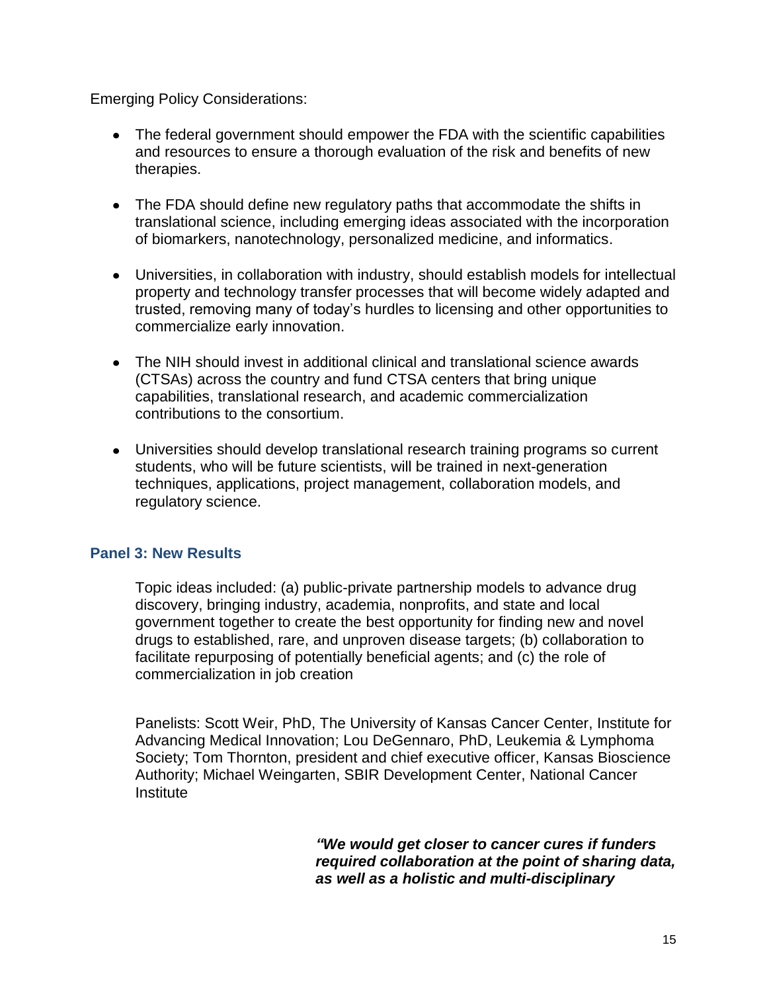Emerging Policy Considerations:

- The federal government should empower the FDA with the scientific capabilities and resources to ensure a thorough evaluation of the risk and benefits of new therapies.
- The FDA should define new regulatory paths that accommodate the shifts in translational science, including emerging ideas associated with the incorporation of biomarkers, nanotechnology, personalized medicine, and informatics.
- Universities, in collaboration with industry, should establish models for intellectual property and technology transfer processes that will become widely adapted and trusted, removing many of today's hurdles to licensing and other opportunities to commercialize early innovation.
- The NIH should invest in additional clinical and translational science awards (CTSAs) across the country and fund CTSA centers that bring unique capabilities, translational research, and academic commercialization contributions to the consortium.
- Universities should develop translational research training programs so current students, who will be future scientists, will be trained in next-generation techniques, applications, project management, collaboration models, and regulatory science.

# **Panel 3: New Results**

Topic ideas included: (a) public-private partnership models to advance drug discovery, bringing industry, academia, nonprofits, and state and local government together to create the best opportunity for finding new and novel drugs to established, rare, and unproven disease targets; (b) collaboration to facilitate repurposing of potentially beneficial agents; and (c) the role of commercialization in job creation

Panelists: Scott Weir, PhD, The University of Kansas Cancer Center, Institute for Advancing Medical Innovation; Lou DeGennaro, PhD, Leukemia & Lymphoma Society; Tom Thornton, president and chief executive officer, Kansas Bioscience Authority; Michael Weingarten, SBIR Development Center, National Cancer **Institute** 

> *"We would get closer to cancer cures if funders required collaboration at the point of sharing data, as well as a holistic and multi-disciplinary*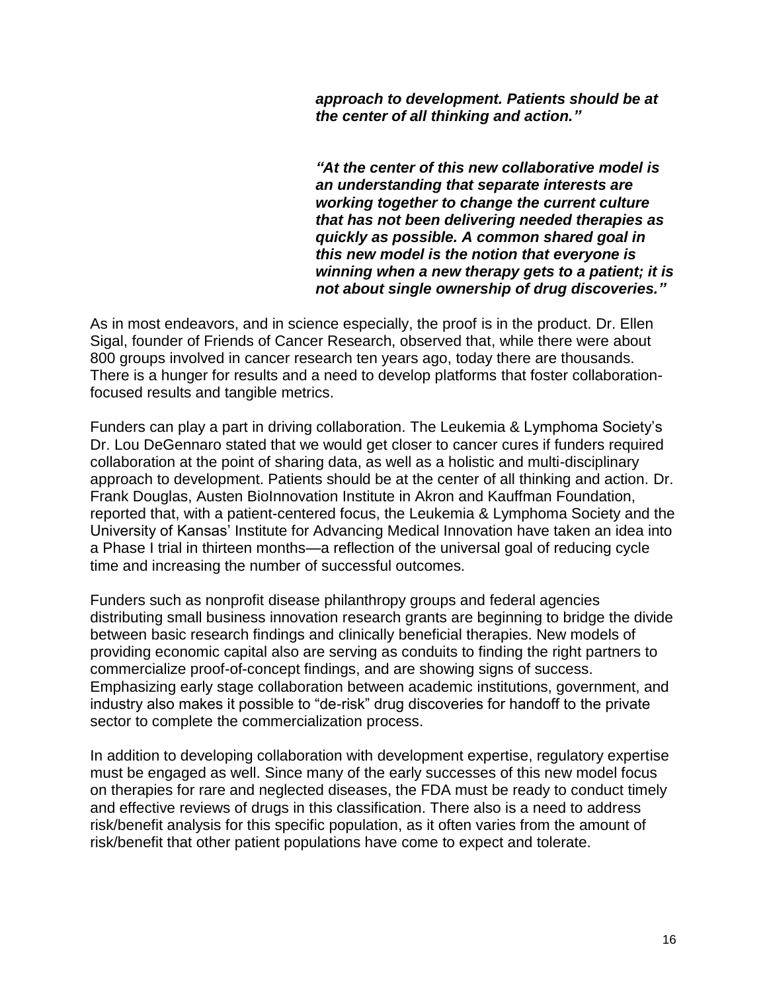*approach to development. Patients should be at the center of all thinking and action."*

*"At the center of this new collaborative model is an understanding that separate interests are working together to change the current culture that has not been delivering needed therapies as quickly as possible. A common shared goal in this new model is the notion that everyone is winning when a new therapy gets to a patient; it is not about single ownership of drug discoveries."*

As in most endeavors, and in science especially, the proof is in the product. Dr. Ellen Sigal, founder of Friends of Cancer Research, observed that, while there were about 800 groups involved in cancer research ten years ago, today there are thousands. There is a hunger for results and a need to develop platforms that foster collaborationfocused results and tangible metrics.

Funders can play a part in driving collaboration. The Leukemia & Lymphoma Society's Dr. Lou DeGennaro stated that we would get closer to cancer cures if funders required collaboration at the point of sharing data, as well as a holistic and multi-disciplinary approach to development. Patients should be at the center of all thinking and action. Dr. Frank Douglas, Austen BioInnovation Institute in Akron and Kauffman Foundation, reported that, with a patient-centered focus, the Leukemia & Lymphoma Society and the University of Kansas' Institute for Advancing Medical Innovation have taken an idea into a Phase I trial in thirteen months—a reflection of the universal goal of reducing cycle time and increasing the number of successful outcomes.

Funders such as nonprofit disease philanthropy groups and federal agencies distributing small business innovation research grants are beginning to bridge the divide between basic research findings and clinically beneficial therapies. New models of providing economic capital also are serving as conduits to finding the right partners to commercialize proof-of-concept findings, and are showing signs of success. Emphasizing early stage collaboration between academic institutions, government, and industry also makes it possible to "de-risk" drug discoveries for handoff to the private sector to complete the commercialization process.

In addition to developing collaboration with development expertise, regulatory expertise must be engaged as well. Since many of the early successes of this new model focus on therapies for rare and neglected diseases, the FDA must be ready to conduct timely and effective reviews of drugs in this classification. There also is a need to address risk/benefit analysis for this specific population, as it often varies from the amount of risk/benefit that other patient populations have come to expect and tolerate.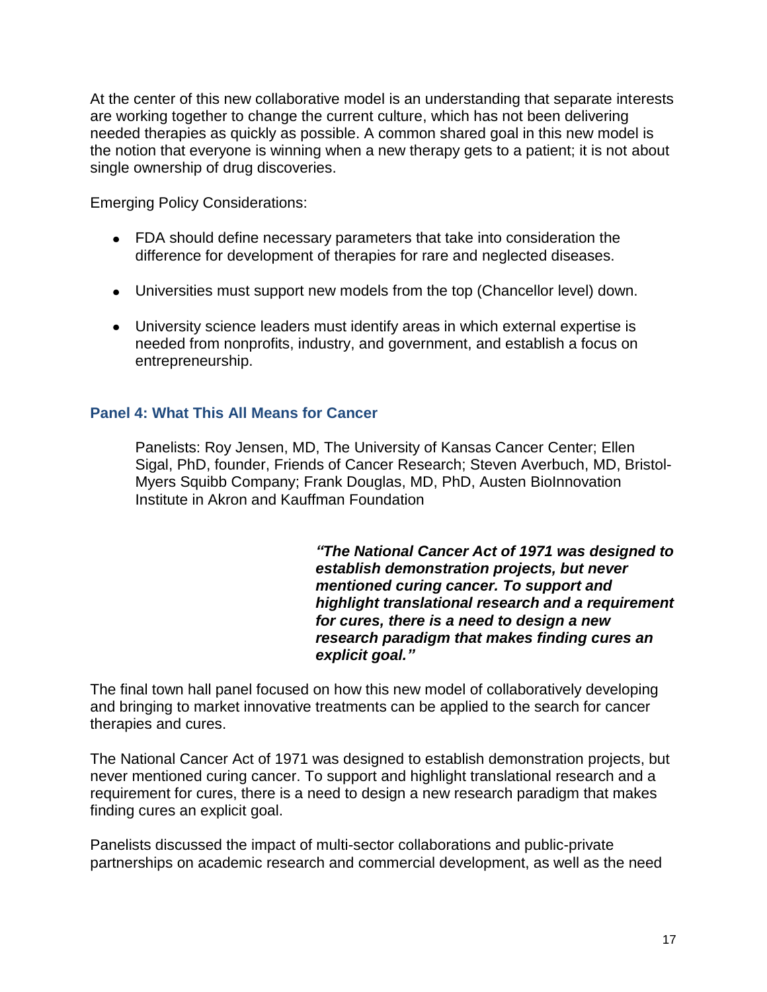At the center of this new collaborative model is an understanding that separate interests are working together to change the current culture, which has not been delivering needed therapies as quickly as possible. A common shared goal in this new model is the notion that everyone is winning when a new therapy gets to a patient; it is not about single ownership of drug discoveries.

Emerging Policy Considerations:

- FDA should define necessary parameters that take into consideration the difference for development of therapies for rare and neglected diseases.
- Universities must support new models from the top (Chancellor level) down.
- University science leaders must identify areas in which external expertise is needed from nonprofits, industry, and government, and establish a focus on entrepreneurship.

# **Panel 4: What This All Means for Cancer**

Panelists: Roy Jensen, MD, The University of Kansas Cancer Center; Ellen Sigal, PhD, founder, Friends of Cancer Research; Steven Averbuch, MD, Bristol-Myers Squibb Company; Frank Douglas, MD, PhD, Austen BioInnovation Institute in Akron and Kauffman Foundation

> *"The National Cancer Act of 1971 was designed to establish demonstration projects, but never mentioned curing cancer. To support and highlight translational research and a requirement for cures, there is a need to design a new research paradigm that makes finding cures an explicit goal."*

The final town hall panel focused on how this new model of collaboratively developing and bringing to market innovative treatments can be applied to the search for cancer therapies and cures.

The National Cancer Act of 1971 was designed to establish demonstration projects, but never mentioned curing cancer. To support and highlight translational research and a requirement for cures, there is a need to design a new research paradigm that makes finding cures an explicit goal.

Panelists discussed the impact of multi-sector collaborations and public-private partnerships on academic research and commercial development, as well as the need